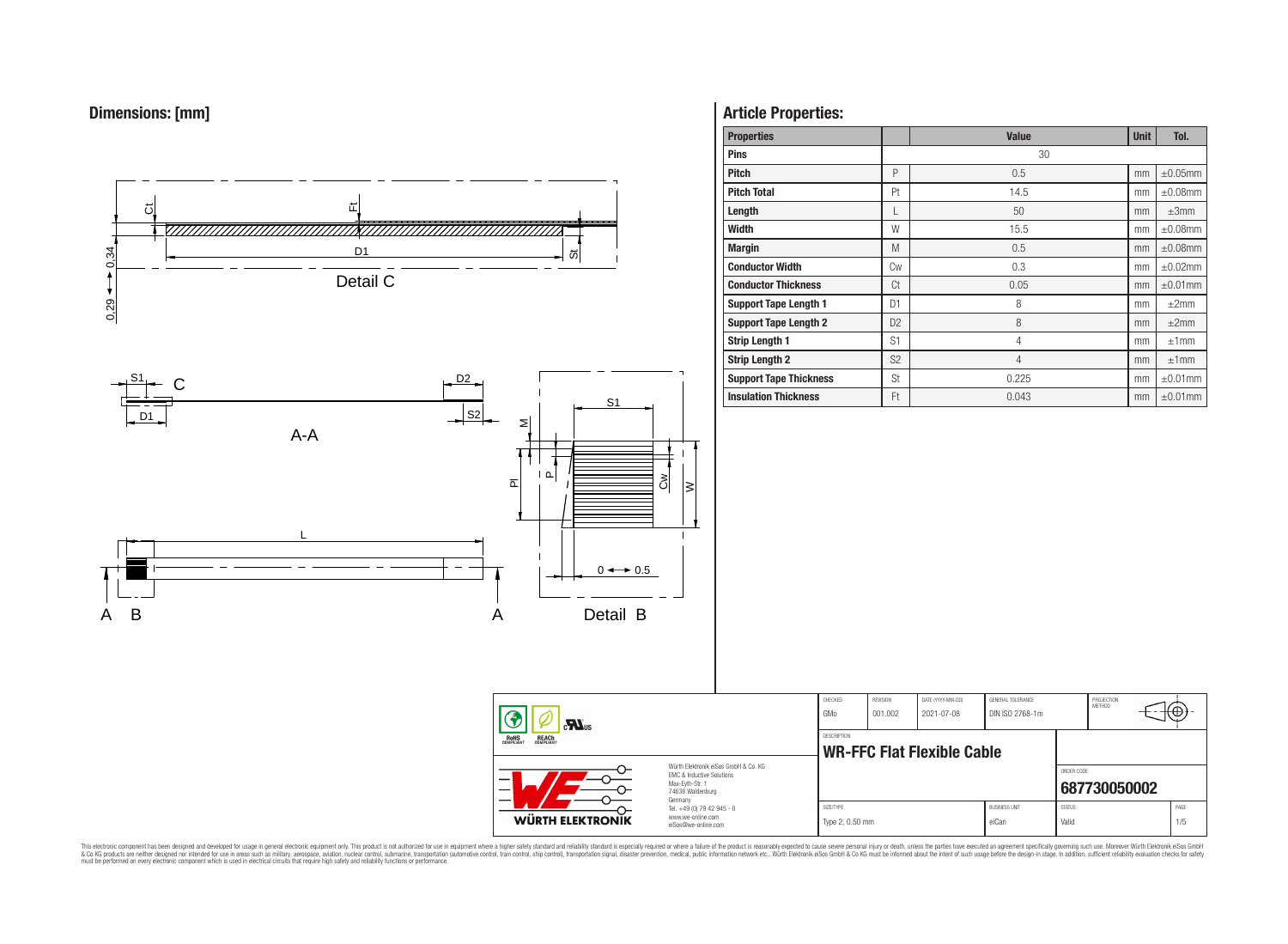



# **Article Properties:**

| <b>Properties</b>             |                | <b>Value</b>   | <b>Unit</b> | Tol.          |
|-------------------------------|----------------|----------------|-------------|---------------|
| <b>Pins</b>                   |                | 30             |             |               |
| <b>Pitch</b>                  | P              | 0.5            | mm          | $\pm 0.05$ mm |
| <b>Pitch Total</b>            | Pt             | 14.5           | mm          | $\pm 0.08$ mm |
| Length                        |                | 50             | mm          | $\pm 3$ mm    |
| Width                         | W              | 15.5           | mm          | $\pm 0.08$ mm |
| <b>Margin</b>                 | M              | 0.5            | mm          | $\pm 0.08$ mm |
| <b>Conductor Width</b>        | Cw             | 0.3            | mm          | $\pm 0.02$ mm |
| <b>Conductor Thickness</b>    | Ct             | 0.05           | mm          | $\pm 0.01$ mm |
| <b>Support Tape Length 1</b>  | D <sub>1</sub> | 8              | mm          | ±2mm          |
| <b>Support Tape Length 2</b>  | D <sub>2</sub> | 8              | mm          | ±2mm          |
| <b>Strip Length 1</b>         | S <sub>1</sub> | 4              | mm          | ±1mm          |
| <b>Strip Length 2</b>         | S <sub>2</sub> | $\overline{4}$ | mm          | ±1mm          |
| <b>Support Tape Thickness</b> | <b>St</b>      | 0.225          | mm          | $\pm 0.01$ mm |
| <b>Insulation Thickness</b>   | Ft             | 0.043          | mm          | $\pm 0.01$ mm |

CHECKED REVISION DATE (YYYY-MM-DD) GENERAL TOLERANCE

**WR-FFC Flat Flexible Cable** 

DESCRIPTION

GMo 001.002 2021-07-08 DIN ISO 2768-1m

PROJECTION<br>METHOD

⊕

**[687730050002](https://www.we-online.com/catalog/en/article/687730050002)**

ORDER CODE

SIZE/TYPE BUSINESS UNIT STATUS PAGE Type 2, 0.50 mm eiCan value of the Valid Valid Valid 1/5

This electronic component has been designed and developed for usage in general electronic equipment only. This product is not authorized for subserved requipment where a higher selection equipment where a higher selection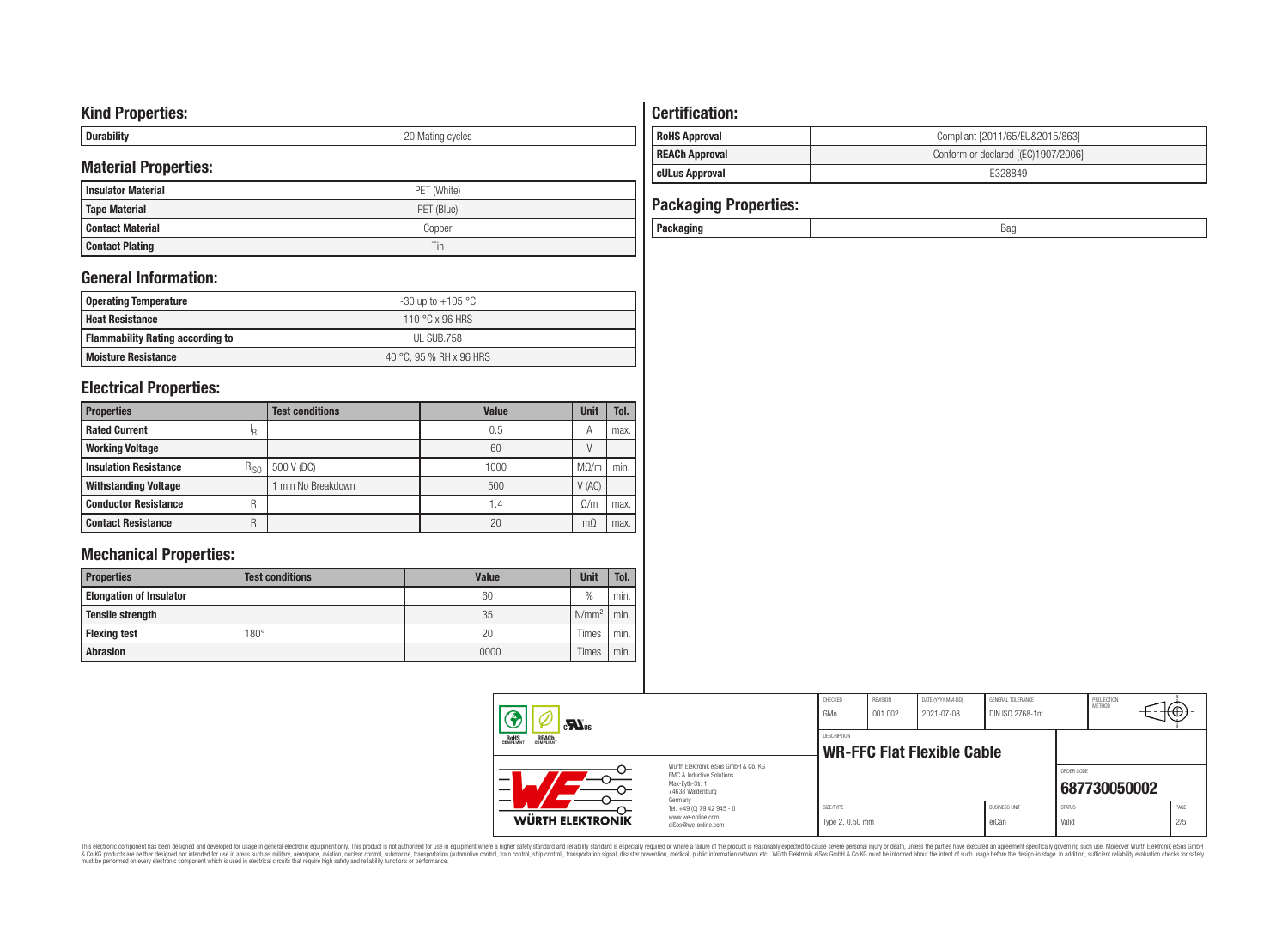# **Kind Properties:**

| --------- | nr<br>∵ycıes<br><b>IVIES LITTLE</b><br>◡ |
|-----------|------------------------------------------|

# **Material Properties:**

| <b>Insulator Material</b> | PET (White) |
|---------------------------|-------------|
| <b>Tape Material</b>      | PET (Blue)  |
| Contact Material          | Copper      |
| <b>Contact Plating</b>    | Tin         |

# **General Information:**

| Operating Temperature                   | -30 up to $+105\text{ °C}$ |
|-----------------------------------------|----------------------------|
| <b>Heat Resistance</b>                  | 110 °C x 96 HRS            |
| <b>Flammability Rating according to</b> | UL SUB.758                 |
| <b>Moisture Resistance</b>              | 40 °C. 95 % RH x 96 HRS    |

# **Electrical Properties:**

| <b>Properties</b>            |           | <b>Test conditions</b> | <b>Value</b>    | <b>Unit</b> | Tol. |
|------------------------------|-----------|------------------------|-----------------|-------------|------|
| <b>Rated Current</b>         | ΙR        |                        | 0.5             | А           | max. |
| <b>Working Voltage</b>       |           |                        | 60              |             |      |
| <b>Insulation Resistance</b> | $R_{ISO}$ | 500 V (DC)             | 1000            | $M\Omega/m$ | min. |
| <b>Withstanding Voltage</b>  |           | min No Breakdown       | 500             | V(AC)       |      |
| <b>Conductor Resistance</b>  | R         |                        | $\mathsf{I}$ .4 | 0/m         | max. |
| <b>Contact Resistance</b>    | R         |                        | 20              | mΩ          | max. |

# **Mechanical Properties:**

| <b>Properties</b>              | <b>Test conditions</b> | <b>Value</b> | <b>Unit</b>   | Tol. |
|--------------------------------|------------------------|--------------|---------------|------|
| <b>Elongation of Insulator</b> |                        | 60           | $\frac{0}{0}$ | min. |
| <b>Tensile strength</b>        |                        | 35           | $N/mm^2$      | min. |
| <b>Flexing test</b>            | $180^\circ$            | 20           | Times         | min. |
| <b>Abrasion</b>                |                        | 10000        | Times         | min. |

# **Certification:**

| <b>RoHS Approval</b>  | Compliant [2011/65/EU&2015/863]     |
|-----------------------|-------------------------------------|
| <b>REACh Approval</b> | Conform or declared [(EC)1907/2006] |
| cULus Approval        | E328849                             |

| <b>Packaging Properties:</b> |     |
|------------------------------|-----|
| Packaging                    | Bag |

| $\mathbf{M}$ us                                                                                                          |                                                                                   | CHECKED<br>GMo                                          | REVISION<br>001.002 | DATE (YYYY-MM-DD)<br>2021-07-08 | GENERAL TOLERANCE<br>DIN ISO 2768-1m |                        | PROJECTION<br>METHOD | ⊣t⊕∗⊤       |
|--------------------------------------------------------------------------------------------------------------------------|-----------------------------------------------------------------------------------|---------------------------------------------------------|---------------------|---------------------------------|--------------------------------------|------------------------|----------------------|-------------|
| <b>REACH</b><br><b>ROHS</b><br>COMPLIANT                                                                                 |                                                                                   | <b>DESCRIPTION</b><br><b>WR-FFC Flat Flexible Cable</b> |                     |                                 |                                      |                        |                      |             |
| Würth Elektronik eiSos GmbH & Co. KG<br><b>EMC &amp; Inductive Solutions</b><br>Max-Evth-Str. 1<br>_<br>74638 Waldenburg |                                                                                   |                                                         |                     |                                 |                                      | ORDER CODE             | 687730050002         |             |
| <b>WÜRTH ELEKTRONIK</b>                                                                                                  | Germany<br>Tel. +49 (0) 79 42 945 - 0<br>www.we-online.com<br>eiSos@we-online.com | SIZE/TYPE<br>Type 2, 0.50 mm                            |                     |                                 | <b>BUSINESS UNIT</b><br>eiCan        | <b>STATUS</b><br>Valid |                      | PAGE<br>2/5 |

This electronic component has been designed and developed for usage in general electronic equipment only. This product is not authorized for subserved requipment where a higher selection equipment where a higher selection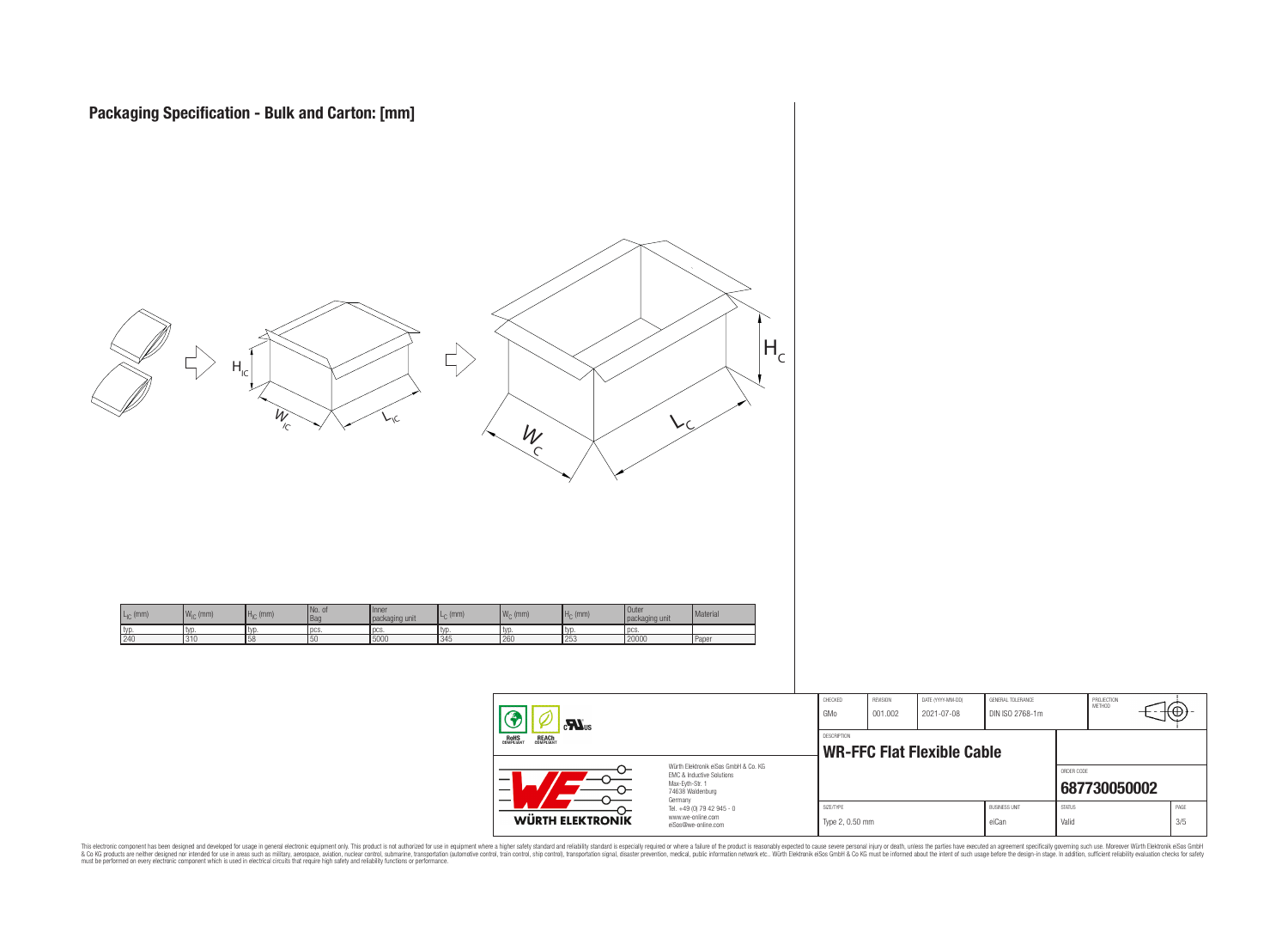

 $\equiv$ 

| <b>WÜRTH ELEKTRONIK</b>                    | www.we-online.com<br>eiSos@we-online.com                                                                 | Type 2, 0.50 mm    |          |                                   | eiCan                | Valid         |                      | 3/5   |
|--------------------------------------------|----------------------------------------------------------------------------------------------------------|--------------------|----------|-----------------------------------|----------------------|---------------|----------------------|-------|
|                                            | Germany<br>Tel. +49 (0) 79 42 945 - 0                                                                    | SIZE/TYPE          |          |                                   | <b>BUSINESS UNIT</b> | <b>STATUS</b> |                      | PAGE  |
|                                            | Würth Elektronik eiSos GmbH & Co. KG<br>EMC & Inductive Solutions<br>Max-Evth-Str. 1<br>74638 Waldenburg |                    |          |                                   |                      | ORDER CODE    | 687730050002         |       |
| OHS<br>Pliant<br><b>REACH</b><br>COMPLIANT |                                                                                                          | <b>DESCRIPTION</b> |          | <b>WR-FFC Flat Flexible Cable</b> |                      |               |                      |       |
| Ð<br>$\mathbf{M}$ <sub>us</sub>            |                                                                                                          | GMo                | 001.002  | 2021-07-08                        | DIN ISO 2768-1m      |               |                      | ⊤t⊕}- |
|                                            |                                                                                                          | CHECKED            | REVISION | DATE (YYYY-MM-DD)                 | GENERAL TOLERANCE    |               | PROJECTION<br>METHOD |       |

This electronic component has been designed and developed for usage in general electronic equipment only. This product is not authorized for subserved requipment where a higher selection equipment where a higher selection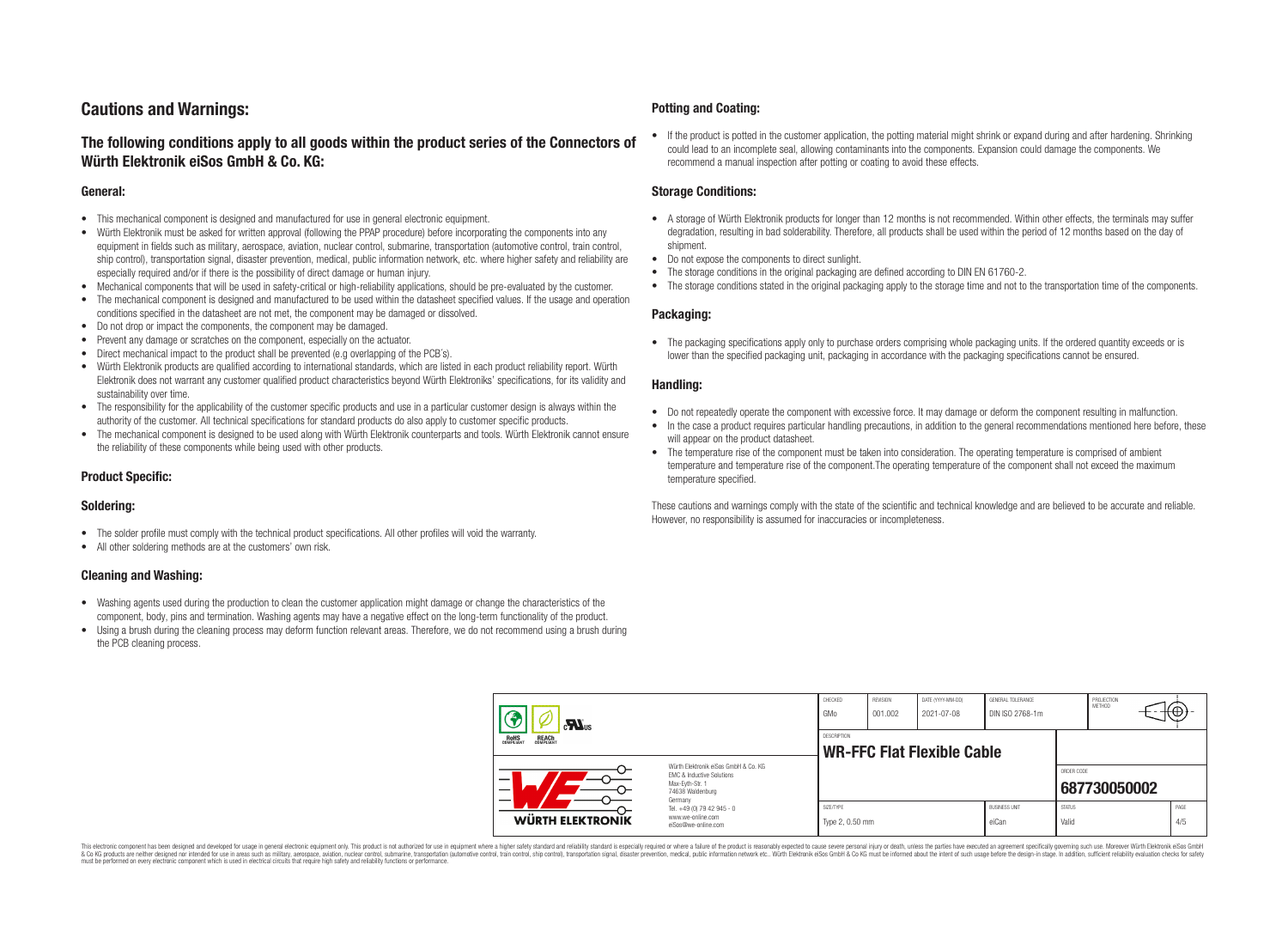# **Cautions and Warnings:**

# **The following conditions apply to all goods within the product series of the Connectors of Würth Elektronik eiSos GmbH & Co. KG:**

#### **General:**

- This mechanical component is designed and manufactured for use in general electronic equipment.
- Würth Elektronik must be asked for written approval (following the PPAP procedure) before incorporating the components into any equipment in fields such as military, aerospace, aviation, nuclear control, submarine, transportation (automotive control, train control, ship control), transportation signal, disaster prevention, medical, public information network, etc. where higher safety and reliability are especially required and/or if there is the possibility of direct damage or human injury.
- Mechanical components that will be used in safety-critical or high-reliability applications, should be pre-evaluated by the customer.
- The mechanical component is designed and manufactured to be used within the datasheet specified values. If the usage and operation conditions specified in the datasheet are not met, the component may be damaged or dissolved.
- Do not drop or impact the components, the component may be damaged.
- Prevent any damage or scratches on the component, especially on the actuator.
- Direct mechanical impact to the product shall be prevented (e.g overlapping of the PCB's).
- Würth Elektronik products are qualified according to international standards, which are listed in each product reliability report. Würth Elektronik does not warrant any customer qualified product characteristics beyond Würth Elektroniks' specifications, for its validity and sustainability over time.
- The responsibility for the applicability of the customer specific products and use in a particular customer design is always within the authority of the customer. All technical specifications for standard products do also apply to customer specific products.
- The mechanical component is designed to be used along with Würth Elektronik counterparts and tools. Würth Elektronik cannot ensure the reliability of these components while being used with other products.

#### **Product Specific:**

#### **Soldering:**

- The solder profile must comply with the technical product specifications. All other profiles will void the warranty.
- All other soldering methods are at the customers' own risk.

#### **Cleaning and Washing:**

- Washing agents used during the production to clean the customer application might damage or change the characteristics of the component, body, pins and termination. Washing agents may have a negative effect on the long-term functionality of the product.
- Using a brush during the cleaning process may deform function relevant areas. Therefore, we do not recommend using a brush during the PCB cleaning process.

#### **Potting and Coating:**

• If the product is potted in the customer application, the potting material might shrink or expand during and after hardening. Shrinking could lead to an incomplete seal, allowing contaminants into the components. Expansion could damage the components. We recommend a manual inspection after potting or coating to avoid these effects.

#### **Storage Conditions:**

- A storage of Würth Elektronik products for longer than 12 months is not recommended. Within other effects, the terminals may suffer degradation, resulting in bad solderability. Therefore, all products shall be used within the period of 12 months based on the day of shipment.
- Do not expose the components to direct sunlight.
- The storage conditions in the original packaging are defined according to DIN EN 61760-2.
- The storage conditions stated in the original packaging apply to the storage time and not to the transportation time of the components.

#### **Packaging:**

• The packaging specifications apply only to purchase orders comprising whole packaging units. If the ordered quantity exceeds or is lower than the specified packaging unit, packaging in accordance with the packaging specifications cannot be ensured.

#### **Handling:**

- Do not repeatedly operate the component with excessive force. It may damage or deform the component resulting in malfunction.
- In the case a product requires particular handling precautions, in addition to the general recommendations mentioned here before, these will appear on the product datasheet
- The temperature rise of the component must be taken into consideration. The operating temperature is comprised of ambient temperature and temperature rise of the component.The operating temperature of the component shall not exceed the maximum temperature specified.

These cautions and warnings comply with the state of the scientific and technical knowledge and are believed to be accurate and reliable. However, no responsibility is assumed for inaccuracies or incompleteness.

| $\sum_{s}$<br><b>ROHS</b><br>COMPLIANT<br><b>REACH</b><br>COMPLIANT                                                           |                                                                        | CHECKED<br>GMo                                   | REVISION<br>001.002 | DATE (YYYY-MM-DD)<br>2021-07-08 | GENERAL TOLERANCE<br>DIN ISO 2768-1m |                        | PROJECTION<br>METHOD |  | ι₩          |
|-------------------------------------------------------------------------------------------------------------------------------|------------------------------------------------------------------------|--------------------------------------------------|---------------------|---------------------------------|--------------------------------------|------------------------|----------------------|--|-------------|
|                                                                                                                               |                                                                        | DESCRIPTION<br><b>WR-FFC Flat Flexible Cable</b> |                     |                                 |                                      |                        |                      |  |             |
| Würth Elektronik eiSos GmbH & Co. KG<br>EMC & Inductive Solutions<br>-<br>Max-Eyth-Str. 1<br>—<br>74638 Waldenburg<br>Germany |                                                                        |                                                  |                     |                                 |                                      | ORDER CODE             | 687730050002         |  |             |
| <b>WÜRTH ELEKTRONIK</b>                                                                                                       | Tel. +49 (0) 79 42 945 - 0<br>www.we-online.com<br>eiSos@we-online.com | SIZE/TYPE<br>Type 2, 0.50 mm                     |                     |                                 | <b>BUSINESS UNIT</b><br>eiCan        | <b>STATUS</b><br>Valid |                      |  | PAGE<br>4/5 |

This electronic component has been designed and developed for usage in general electronic equipment only. This product is not authorized for use in equipment where a higher safety standard and reliability standard si espec & Ook product a label and the membed of the seasuch as marked and as which such a membed and the such assume that income in the seasuch and the simulation and the such assume that include to the such a membed and the such